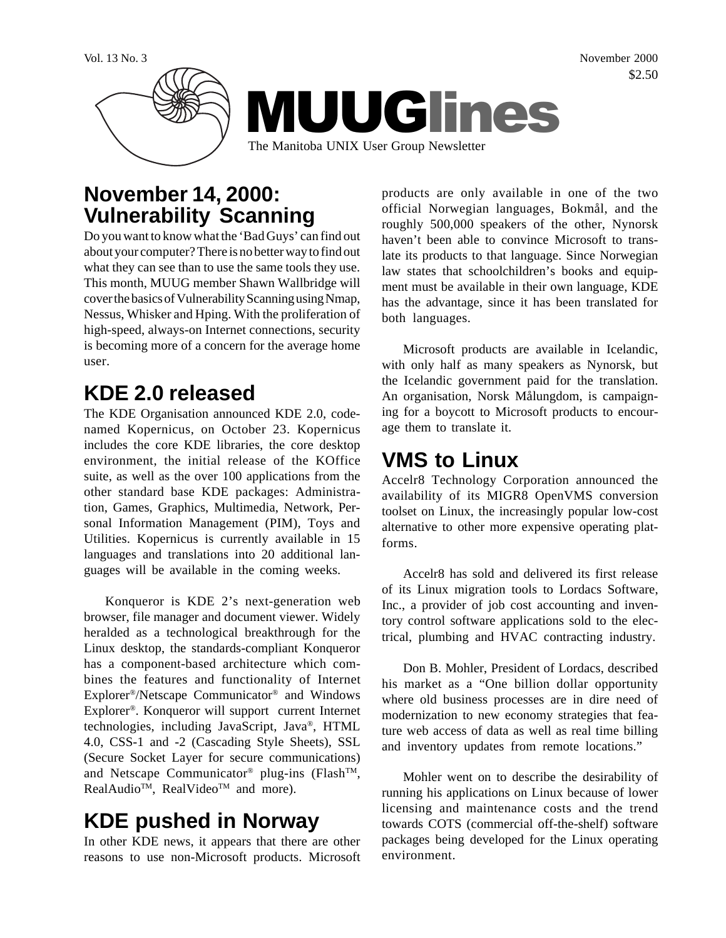

### **November 14, 2000: Vulnerability Scanning**

Do you want to know what the 'Bad Guys' can find out about your computer? There is no better way to find out what they can see than to use the same tools they use. This month, MUUG member Shawn Wallbridge will cover the basics of Vulnerability Scanning using Nmap, Nessus, Whisker and Hping. With the proliferation of high-speed, always-on Internet connections, security is becoming more of a concern for the average home user.

# **KDE 2.0 released**

The KDE Organisation announced KDE 2.0, codenamed Kopernicus, on October 23. Kopernicus includes the core KDE libraries, the core desktop environment, the initial release of the KOffice suite, as well as the over 100 applications from the other standard base KDE packages: Administration, Games, Graphics, Multimedia, Network, Personal Information Management (PIM), Toys and Utilities. Kopernicus is currently available in 15 languages and translations into 20 additional languages will be available in the coming weeks.

Konqueror is KDE 2's next-generation web browser, file manager and document viewer. Widely heralded as a technological breakthrough for the Linux desktop, the standards-compliant Konqueror has a component-based architecture which combines the features and functionality of Internet Explorer®/Netscape Communicator® and Windows Explorer®. Konqueror will support current Internet technologies, including JavaScript, Java®, HTML 4.0, CSS-1 and -2 (Cascading Style Sheets), SSL (Secure Socket Layer for secure communications) and Netscape Communicator<sup>®</sup> plug-ins (Flash<sup>TM</sup>, RealAudio<sup>™</sup>, RealVideo<sup>™</sup> and more).

## **KDE pushed in Norway**

In other KDE news, it appears that there are other reasons to use non-Microsoft products. Microsoft

products are only available in one of the two official Norwegian languages, Bokmål, and the roughly 500,000 speakers of the other, Nynorsk haven't been able to convince Microsoft to translate its products to that language. Since Norwegian law states that schoolchildren's books and equipment must be available in their own language, KDE has the advantage, since it has been translated for both languages.

Microsoft products are available in Icelandic, with only half as many speakers as Nynorsk, but the Icelandic government paid for the translation. An organisation, Norsk Målungdom, is campaigning for a boycott to Microsoft products to encourage them to translate it.

### **VMS to Linux**

Accelr8 Technology Corporation announced the availability of its MIGR8 OpenVMS conversion toolset on Linux, the increasingly popular low-cost alternative to other more expensive operating platforms.

Accelr8 has sold and delivered its first release of its Linux migration tools to Lordacs Software, Inc., a provider of job cost accounting and inventory control software applications sold to the electrical, plumbing and HVAC contracting industry.

Don B. Mohler, President of Lordacs, described his market as a "One billion dollar opportunity where old business processes are in dire need of modernization to new economy strategies that feature web access of data as well as real time billing and inventory updates from remote locations."

Mohler went on to describe the desirability of running his applications on Linux because of lower licensing and maintenance costs and the trend towards COTS (commercial off-the-shelf) software packages being developed for the Linux operating environment.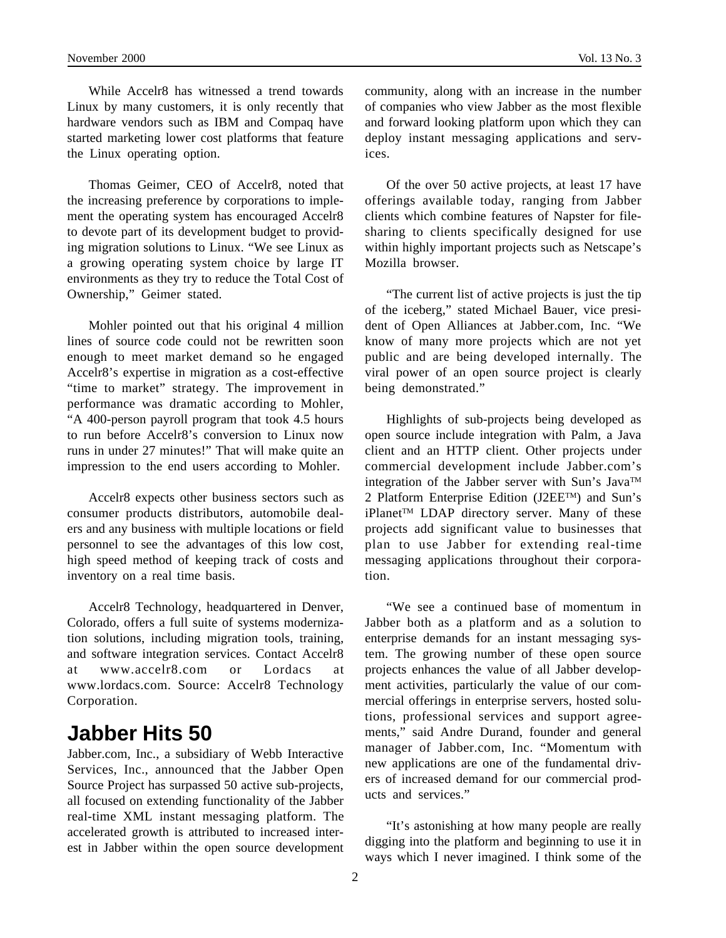While Accelr8 has witnessed a trend towards Linux by many customers, it is only recently that hardware vendors such as IBM and Compaq have started marketing lower cost platforms that feature the Linux operating option.

Thomas Geimer, CEO of Accelr8, noted that the increasing preference by corporations to implement the operating system has encouraged Accelr8 to devote part of its development budget to providing migration solutions to Linux. "We see Linux as a growing operating system choice by large IT environments as they try to reduce the Total Cost of Ownership," Geimer stated.

Mohler pointed out that his original 4 million lines of source code could not be rewritten soon enough to meet market demand so he engaged Accelr8's expertise in migration as a cost-effective "time to market" strategy. The improvement in performance was dramatic according to Mohler, "A 400-person payroll program that took 4.5 hours to run before Accelr8's conversion to Linux now runs in under 27 minutes!" That will make quite an impression to the end users according to Mohler.

Accelr8 expects other business sectors such as consumer products distributors, automobile dealers and any business with multiple locations or field personnel to see the advantages of this low cost, high speed method of keeping track of costs and inventory on a real time basis.

Accelr8 Technology, headquartered in Denver, Colorado, offers a full suite of systems modernization solutions, including migration tools, training, and software integration services. Contact Accelr8 at www.accelr8.com or Lordacs at www.lordacs.com. Source: Accelr8 Technology Corporation.

#### **Jabber Hits 50**

Jabber.com, Inc., a subsidiary of Webb Interactive Services, Inc., announced that the Jabber Open Source Project has surpassed 50 active sub-projects, all focused on extending functionality of the Jabber real-time XML instant messaging platform. The accelerated growth is attributed to increased interest in Jabber within the open source development

community, along with an increase in the number of companies who view Jabber as the most flexible and forward looking platform upon which they can deploy instant messaging applications and services.

Of the over 50 active projects, at least 17 have offerings available today, ranging from Jabber clients which combine features of Napster for filesharing to clients specifically designed for use within highly important projects such as Netscape's Mozilla browser.

"The current list of active projects is just the tip of the iceberg," stated Michael Bauer, vice president of Open Alliances at Jabber.com, Inc. "We know of many more projects which are not yet public and are being developed internally. The viral power of an open source project is clearly being demonstrated."

Highlights of sub-projects being developed as open source include integration with Palm, a Java client and an HTTP client. Other projects under commercial development include Jabber.com's integration of the Jabber server with Sun's Java<sup>TM</sup> 2 Platform Enterprise Edition (J2EETM) and Sun's  $i$ Planet<sup>TM</sup> LDAP directory server. Many of these projects add significant value to businesses that plan to use Jabber for extending real-time messaging applications throughout their corporation.

"We see a continued base of momentum in Jabber both as a platform and as a solution to enterprise demands for an instant messaging system. The growing number of these open source projects enhances the value of all Jabber development activities, particularly the value of our commercial offerings in enterprise servers, hosted solutions, professional services and support agreements," said Andre Durand, founder and general manager of Jabber.com, Inc. "Momentum with new applications are one of the fundamental drivers of increased demand for our commercial products and services."

"It's astonishing at how many people are really digging into the platform and beginning to use it in ways which I never imagined. I think some of the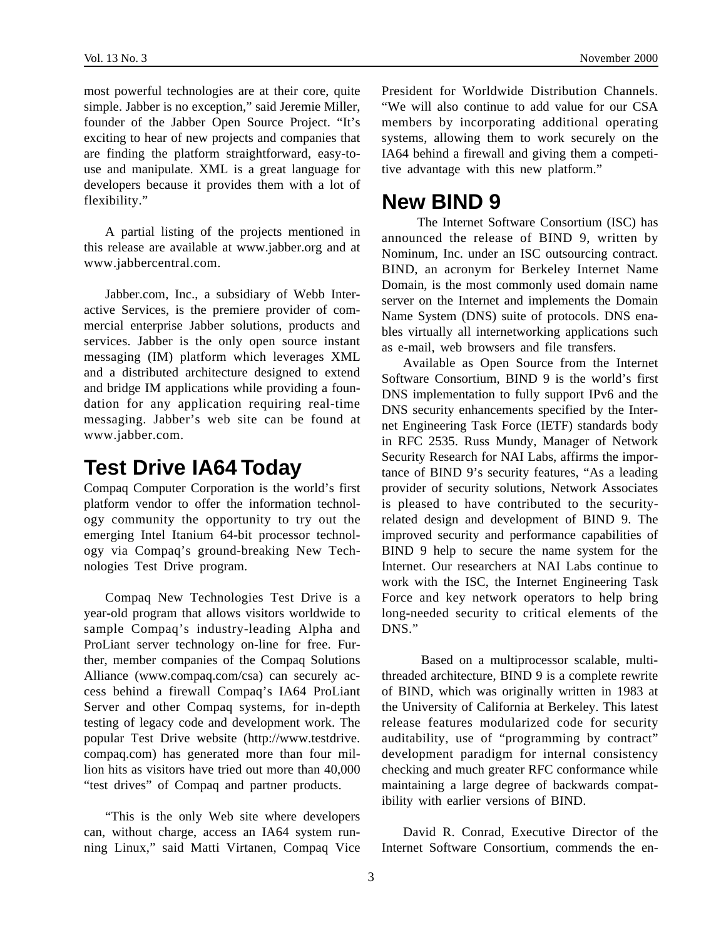most powerful technologies are at their core, quite simple. Jabber is no exception," said Jeremie Miller, founder of the Jabber Open Source Project. "It's exciting to hear of new projects and companies that are finding the platform straightforward, easy-touse and manipulate. XML is a great language for developers because it provides them with a lot of flexibility."

A partial listing of the projects mentioned in this release are available at www.jabber.org and at www.jabbercentral.com.

Jabber.com, Inc., a subsidiary of Webb Interactive Services, is the premiere provider of commercial enterprise Jabber solutions, products and services. Jabber is the only open source instant messaging (IM) platform which leverages XML and a distributed architecture designed to extend and bridge IM applications while providing a foundation for any application requiring real-time messaging. Jabber's web site can be found at www.jabber.com.

#### **Test Drive IA64 Today**

Compaq Computer Corporation is the world's first platform vendor to offer the information technology community the opportunity to try out the emerging Intel Itanium 64-bit processor technology via Compaq's ground-breaking New Technologies Test Drive program.

Compaq New Technologies Test Drive is a year-old program that allows visitors worldwide to sample Compaq's industry-leading Alpha and ProLiant server technology on-line for free. Further, member companies of the Compaq Solutions Alliance (www.compaq.com/csa) can securely access behind a firewall Compaq's IA64 ProLiant Server and other Compaq systems, for in-depth testing of legacy code and development work. The popular Test Drive website (http://www.testdrive. compaq.com) has generated more than four million hits as visitors have tried out more than 40,000 "test drives" of Compaq and partner products.

"This is the only Web site where developers can, without charge, access an IA64 system running Linux," said Matti Virtanen, Compaq Vice

President for Worldwide Distribution Channels. "We will also continue to add value for our CSA members by incorporating additional operating systems, allowing them to work securely on the IA64 behind a firewall and giving them a competitive advantage with this new platform."

#### **New BIND 9**

 The Internet Software Consortium (ISC) has announced the release of BIND 9, written by Nominum, Inc. under an ISC outsourcing contract. BIND, an acronym for Berkeley Internet Name Domain, is the most commonly used domain name server on the Internet and implements the Domain Name System (DNS) suite of protocols. DNS enables virtually all internetworking applications such as e-mail, web browsers and file transfers.

Available as Open Source from the Internet Software Consortium, BIND 9 is the world's first DNS implementation to fully support IPv6 and the DNS security enhancements specified by the Internet Engineering Task Force (IETF) standards body in RFC 2535. Russ Mundy, Manager of Network Security Research for NAI Labs, affirms the importance of BIND 9's security features, "As a leading provider of security solutions, Network Associates is pleased to have contributed to the securityrelated design and development of BIND 9. The improved security and performance capabilities of BIND 9 help to secure the name system for the Internet. Our researchers at NAI Labs continue to work with the ISC, the Internet Engineering Task Force and key network operators to help bring long-needed security to critical elements of the DNS."

 Based on a multiprocessor scalable, multithreaded architecture, BIND 9 is a complete rewrite of BIND, which was originally written in 1983 at the University of California at Berkeley. This latest release features modularized code for security auditability, use of "programming by contract" development paradigm for internal consistency checking and much greater RFC conformance while maintaining a large degree of backwards compatibility with earlier versions of BIND.

David R. Conrad, Executive Director of the Internet Software Consortium, commends the en-